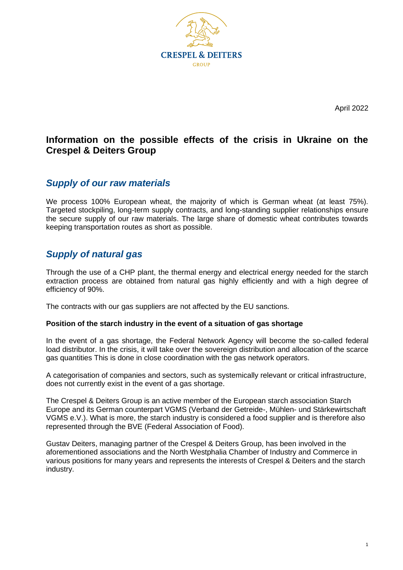

April 2022

## **Information on the possible effects of the crisis in Ukraine on the Crespel & Deiters Group**

### *Supply of our raw materials*

We process 100% European wheat, the majority of which is German wheat (at least 75%). Targeted stockpiling, long-term supply contracts, and long-standing supplier relationships ensure the secure supply of our raw materials. The large share of domestic wheat contributes towards keeping transportation routes as short as possible.

## *Supply of natural gas*

Through the use of a CHP plant, the thermal energy and electrical energy needed for the starch extraction process are obtained from natural gas highly efficiently and with a high degree of efficiency of 90%.

The contracts with our gas suppliers are not affected by the EU sanctions.

#### **Position of the starch industry in the event of a situation of gas shortage**

In the event of a gas shortage, the Federal Network Agency will become the so-called federal load distributor. In the crisis, it will take over the sovereign distribution and allocation of the scarce gas quantities This is done in close coordination with the gas network operators.

A categorisation of companies and sectors, such as systemically relevant or critical infrastructure, does not currently exist in the event of a gas shortage.

The Crespel & Deiters Group is an active member of the European starch association Starch Europe and its German counterpart VGMS (Verband der Getreide-, Mühlen- und Stärkewirtschaft VGMS e.V.). What is more, the starch industry is considered a food supplier and is therefore also represented through the BVE (Federal Association of Food).

Gustav Deiters, managing partner of the Crespel & Deiters Group, has been involved in the aforementioned associations and the North Westphalia Chamber of Industry and Commerce in various positions for many years and represents the interests of Crespel & Deiters and the starch industry.